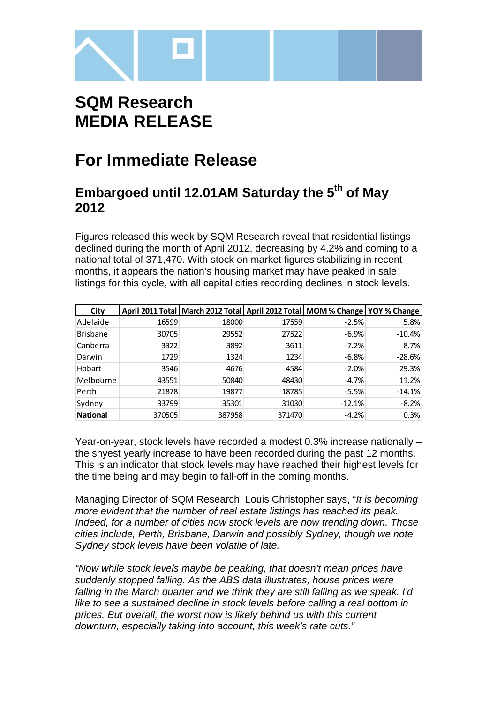

# **SQM Research MEDIA RELEASE**

## **For Immediate Release**

### **Embargoed until 12.01AM Saturday the 5th of May 2012**

Figures released this week by SQM Research reveal that residential listings declined during the month of April 2012, decreasing by 4.2% and coming to a national total of 371,470. With stock on market figures stabilizing in recent months, it appears the nation's housing market may have peaked in sale listings for this cycle, with all capital cities recording declines in stock levels.

| City            |        | April 2011 Total   March 2012 Total   April 2012 Total   MOM % Change   YOY % Change |        |          |          |
|-----------------|--------|--------------------------------------------------------------------------------------|--------|----------|----------|
| Adelaide        | 16599  | 18000                                                                                | 17559  | $-2.5%$  | 5.8%     |
| <b>Brisbane</b> | 30705  | 29552                                                                                | 27522  | $-6.9%$  | $-10.4%$ |
| Canberra        | 3322   | 3892                                                                                 | 3611   | $-7.2%$  | 8.7%     |
| Darwin          | 1729   | 1324                                                                                 | 1234   | $-6.8%$  | $-28.6%$ |
| Hobart          | 3546   | 4676                                                                                 | 4584   | $-2.0%$  | 29.3%    |
| Melbourne       | 43551  | 50840                                                                                | 48430  | $-4.7%$  | 11.2%    |
| Perth           | 21878  | 19877                                                                                | 18785  | $-5.5%$  | $-14.1%$ |
| Sydney          | 33799  | 35301                                                                                | 31030  | $-12.1%$ | $-8.2%$  |
| <b>National</b> | 370505 | 387958                                                                               | 371470 | $-4.2%$  | 0.3%     |

Year-on-year, stock levels have recorded a modest 0.3% increase nationally – the shyest yearly increase to have been recorded during the past 12 months. This is an indicator that stock levels may have reached their highest levels for the time being and may begin to fall-off in the coming months.

Managing Director of SQM Research, Louis Christopher says, "It is becoming more evident that the number of real estate listings has reached its peak. Indeed, for a number of cities now stock levels are now trending down. Those cities include, Perth, Brisbane, Darwin and possibly Sydney, though we note Sydney stock levels have been volatile of late.

"Now while stock levels maybe be peaking, that doesn't mean prices have suddenly stopped falling. As the ABS data illustrates, house prices were falling in the March quarter and we think they are still falling as we speak. I'd like to see a sustained decline in stock levels before calling a real bottom in prices. But overall, the worst now is likely behind us with this current downturn, especially taking into account, this week's rate cuts."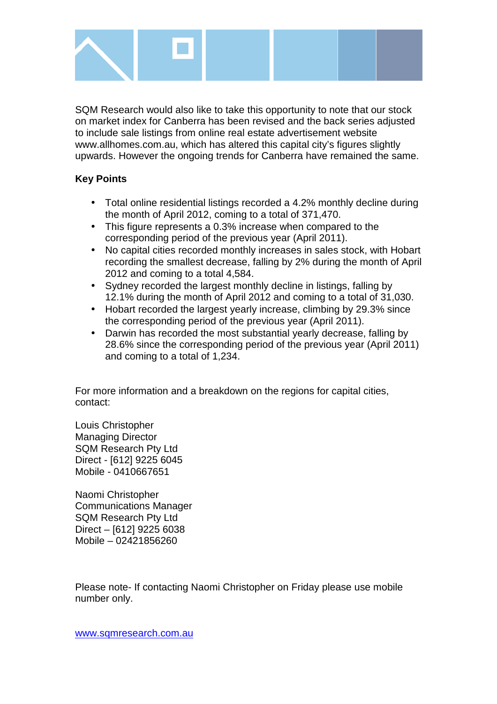

SQM Research would also like to take this opportunity to note that our stock on market index for Canberra has been revised and the back series adjusted to include sale listings from online real estate advertisement website www.allhomes.com.au, which has altered this capital city's figures slightly upwards. However the ongoing trends for Canberra have remained the same.

#### **Key Points**

- Total online residential listings recorded a 4.2% monthly decline during the month of April 2012, coming to a total of 371,470.
- This figure represents a 0.3% increase when compared to the corresponding period of the previous year (April 2011).
- No capital cities recorded monthly increases in sales stock, with Hobart recording the smallest decrease, falling by 2% during the month of April 2012 and coming to a total 4,584.
- Sydney recorded the largest monthly decline in listings, falling by 12.1% during the month of April 2012 and coming to a total of 31,030.
- Hobart recorded the largest yearly increase, climbing by 29.3% since the corresponding period of the previous year (April 2011).
- Darwin has recorded the most substantial yearly decrease, falling by 28.6% since the corresponding period of the previous year (April 2011) and coming to a total of 1,234.

For more information and a breakdown on the regions for capital cities, contact:

Louis Christopher Managing Director SQM Research Pty Ltd Direct - [612] 9225 6045 Mobile - 0410667651

Naomi Christopher Communications Manager SQM Research Pty Ltd Direct – [612] 9225 6038 Mobile – 02421856260

Please note- If contacting Naomi Christopher on Friday please use mobile number only.